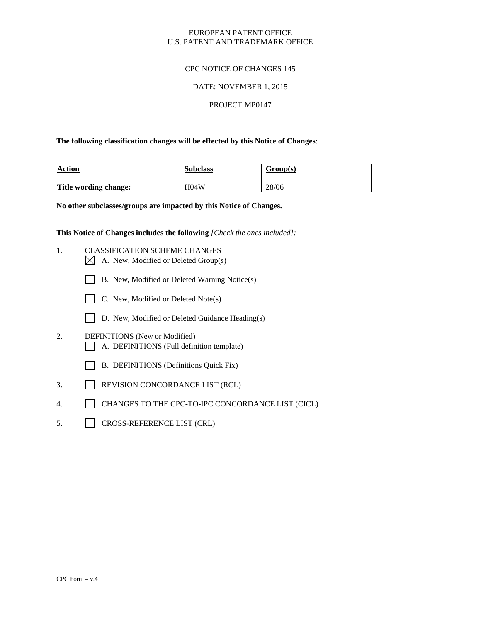# EUROPEAN PATENT OFFICE U.S. PATENT AND TRADEMARK OFFICE

# CPC NOTICE OF CHANGES 145

## DATE: NOVEMBER 1, 2015

### PROJECT MP0147

### **The following classification changes will be effected by this Notice of Changes**:

| Action<br>_______     | <b>Subclass</b> | Group(s) |
|-----------------------|-----------------|----------|
| Title wording change: | H04W            | 28/06    |

**No other subclasses/groups are impacted by this Notice of Changes.**

**This Notice of Changes includes the following** *[Check the ones included]:*

- 1. CLASSIFICATION SCHEME CHANGES
	- $\boxtimes$  A. New, Modified or Deleted Group(s)
	- B. New, Modified or Deleted Warning Notice(s)
	- $\Box$  C. New, Modified or Deleted Note(s)
	- D. New, Modified or Deleted Guidance Heading(s)
- 2. DEFINITIONS (New or Modified) A. DEFINITIONS (Full definition template)
	- B. DEFINITIONS (Definitions Quick Fix)
- 3. REVISION CONCORDANCE LIST (RCL)
- 4. CHANGES TO THE CPC-TO-IPC CONCORDANCE LIST (CICL)
- 5. CROSS-REFERENCE LIST (CRL)